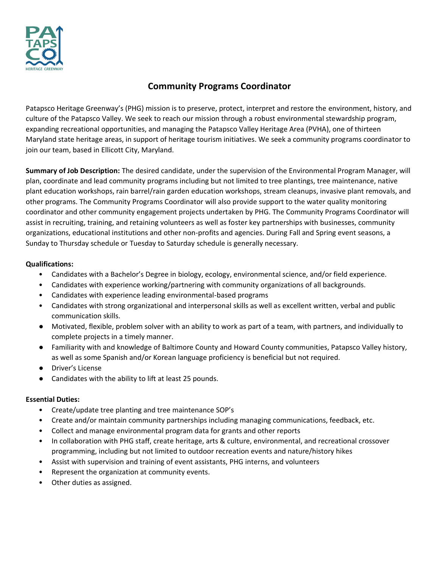

## **Community Programs Coordinator**

Patapsco Heritage Greenway's (PHG) mission is to preserve, protect, interpret and restore the environment, history, and culture of the Patapsco Valley. We seek to reach our mission through a robust environmental stewardship program, expanding recreational opportunities, and managing the Patapsco Valley Heritage Area (PVHA), one of thirteen Maryland state heritage areas, in support of heritage tourism initiatives. We seek a community programs coordinator to join our team, based in Ellicott City, Maryland.

**Summary of Job Description:** The desired candidate, under the supervision of the Environmental Program Manager, will plan, coordinate and lead community programs including but not limited to tree plantings, tree maintenance, native plant education workshops, rain barrel/rain garden education workshops, stream cleanups, invasive plant removals, and other programs. The Community Programs Coordinator will also provide support to the water quality monitoring coordinator and other community engagement projects undertaken by PHG. The Community Programs Coordinator will assist in recruiting, training, and retaining volunteers as well as foster key partnerships with businesses, community organizations, educational institutions and other non-profits and agencies. During Fall and Spring event seasons, a Sunday to Thursday schedule or Tuesday to Saturday schedule is generally necessary.

## **Qualifications:**

- Candidates with a Bachelor's Degree in biology, ecology, environmental science, and/or field experience.
- Candidates with experience working/partnering with community organizations of all backgrounds.
- Candidates with experience leading environmental-based programs
- Candidates with strong organizational and interpersonal skills as well as excellent written, verbal and public communication skills.
- Motivated, flexible, problem solver with an ability to work as part of a team, with partners, and individually to complete projects in a timely manner.
- Familiarity with and knowledge of Baltimore County and Howard County communities, Patapsco Valley history, as well as some Spanish and/or Korean language proficiency is beneficial but not required.
- Driver's License
- Candidates with the ability to lift at least 25 pounds.

## **Essential Duties:**

- Create/update tree planting and tree maintenance SOP's
- Create and/or maintain community partnerships including managing communications, feedback, etc.
- Collect and manage environmental program data for grants and other reports
- In collaboration with PHG staff, create heritage, arts & culture, environmental, and recreational crossover programming, including but not limited to outdoor recreation events and nature/history hikes
- Assist with supervision and training of event assistants, PHG interns, and volunteers
- Represent the organization at community events.
- Other duties as assigned.